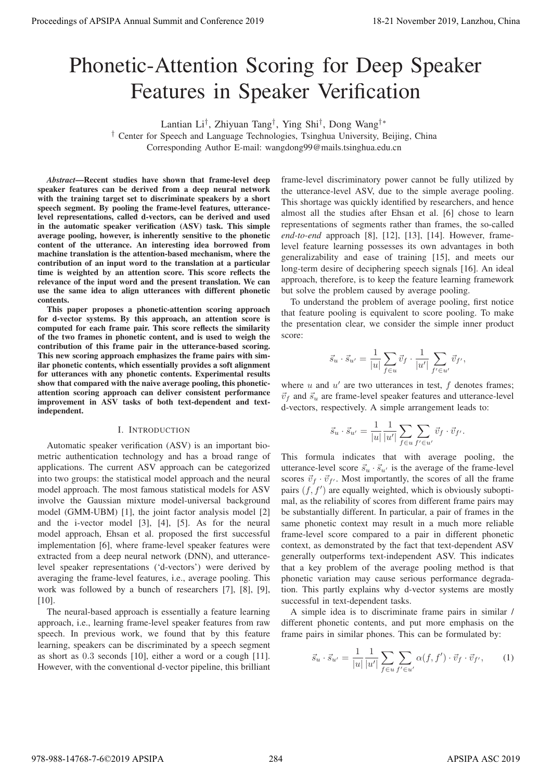# Phonetic-Attention Scoring for Deep Speaker Features in Speaker Verification

Lantian Li†, Zhiyuan Tang†, Ying Shi†, Dong Wang†∗

† Center for Speech and Language Technologies, Tsinghua University, Beijing, China Corresponding Author E-mail: wangdong99@mails.tsinghua.edu.cn

*Abstract*—Recent studies have shown that frame-level deep speaker features can be derived from a deep neural network with the training target set to discriminate speakers by a short speech segment. By pooling the frame-level features, utterancelevel representations, called d-vectors, can be derived and used in the automatic speaker verification (ASV) task. This simple average pooling, however, is inherently sensitive to the phonetic content of the utterance. An interesting idea borrowed from machine translation is the attention-based mechanism, where the contribution of an input word to the translation at a particular time is weighted by an attention score. This score reflects the relevance of the input word and the present translation. We can use the same idea to align utterances with different phonetic contents.

This paper proposes a phonetic-attention scoring approach for d-vector systems. By this approach, an attention score is computed for each frame pair. This score reflects the similarity of the two frames in phonetic content, and is used to weigh the contribution of this frame pair in the utterance-based scoring. This new scoring approach emphasizes the frame pairs with similar phonetic contents, which essentially provides a soft alignment for utterances with any phonetic contents. Experimental results show that compared with the naive average pooling, this phoneticattention scoring approach can deliver consistent performance improvement in ASV tasks of both text-dependent and textindependent.

# I. INTRODUCTION

Automatic speaker verification (ASV) is an important biometric authentication technology and has a broad range of applications. The current ASV approach can be categorized into two groups: the statistical model approach and the neural model approach. The most famous statistical models for ASV involve the Gaussian mixture model-universal background model (GMM-UBM) [1], the joint factor analysis model [2] and the i-vector model [3], [4], [5]. As for the neural model approach, Ehsan et al. proposed the first successful implementation [6], where frame-level speaker features were extracted from a deep neural network (DNN), and utterancelevel speaker representations ('d-vectors') were derived by averaging the frame-level features, i.e., average pooling. This work was followed by a bunch of researchers [7], [8], [9], [10]. **Proceeding of APSIPA Annual Summit at Co-Co-co-2019**<br> **Process of APSIPA Annual Summit and Conference 2019**<br> **Process of ATLACTION CONFERENCE CONFERENCE CONFERENCE CONFERENCE CONFERENCE CONFERENCE CONFERENCE CONFERENCE C** 

The neural-based approach is essentially a feature learning approach, i.e., learning frame-level speaker features from raw speech. In previous work, we found that by this feature learning, speakers can be discriminated by a speech segment as short as 0.3 seconds [10], either a word or a cough [11]. However, with the conventional d-vector pipeline, this brilliant

frame-level discriminatory power cannot be fully utilized by the utterance-level ASV, due to the simple average pooling. This shortage was quickly identified by researchers, and hence almost all the studies after Ehsan et al. [6] chose to learn representations of segments rather than frames, the so-called *end-to-end* approach [8], [12], [13], [14]. However, framelevel feature learning possesses its own advantages in both generalizability and ease of training [15], and meets our long-term desire of deciphering speech signals [16]. An ideal approach, therefore, is to keep the feature learning framework but solve the problem caused by average pooling.

To understand the problem of average pooling, first notice that feature pooling is equivalent to score pooling. To make the presentation clear, we consider the simple inner product score:

$$
\vec{s}_u \cdot \vec{s}_{u'} = \frac{1}{|u|} \sum_{f \in u} \vec{v}_f \cdot \frac{1}{|u'|} \sum_{f' \in u'} \vec{v}_{f'},
$$

where  $u$  and  $u'$  are two utterances in test,  $f$  denotes frames;  $d$ -vectors, respectively. A simple arrangement leads to:  $\vec{v}_f$  and  $\vec{s}_u$  are frame-level speaker features and utterance-level<br>d-vectors, respectively. A simple arrangement leads to:

$$
\vec{s}_u \cdot \vec{s}_{u'} = \frac{1}{|u|} \frac{1}{|u'|} \sum_{f \in u} \sum_{f' \in u'} \vec{v}_f \cdot \vec{v}_{f'}.
$$

This formula indicates that with average pooling, the utterance-level score  $\vec{s_u} \cdot \vec{s_{u'}}$  is the average of the frame-level<br>scores  $\vec{v_s} \cdot \vec{s_{u'}}$ . Most importantly, the scores of all the frame  $\frac{s_{u'}}{s}$ scores  $\vec{v}_f \cdot \vec{v}_{f'}$ . Most importantly, the scores of all the frame<br>pairs (f f') are equally weighted, which is obviously suborti- $\frac{v_{f}}{\Omega}$ pairs  $(f, f')$  are equally weighted, which is obviously subopti-<br>mal as the reliability of scores from different frame pairs may mal, as the reliability of scores from different frame pairs may be substantially different. In particular, a pair of frames in the same phonetic context may result in a much more reliable frame-level score compared to a pair in different phonetic context, as demonstrated by the fact that text-dependent ASV generally outperforms text-independent ASV. This indicates that a key problem of the average pooling method is that phonetic variation may cause serious performance degradation. This partly explains why d-vector systems are mostly successful in text-dependent tasks.

A simple idea is to discriminate frame pairs in similar / different phonetic contents, and put more emphasis on the frame pairs in similar phones. This can be formulated by:

$$
\vec{s}_u \cdot \vec{s}_{u'} = \frac{1}{|u|} \frac{1}{|u'|} \sum_{f \in u} \sum_{f' \in u'} \alpha(f, f') \cdot \vec{v}_f \cdot \vec{v}_{f'}, \qquad (1)
$$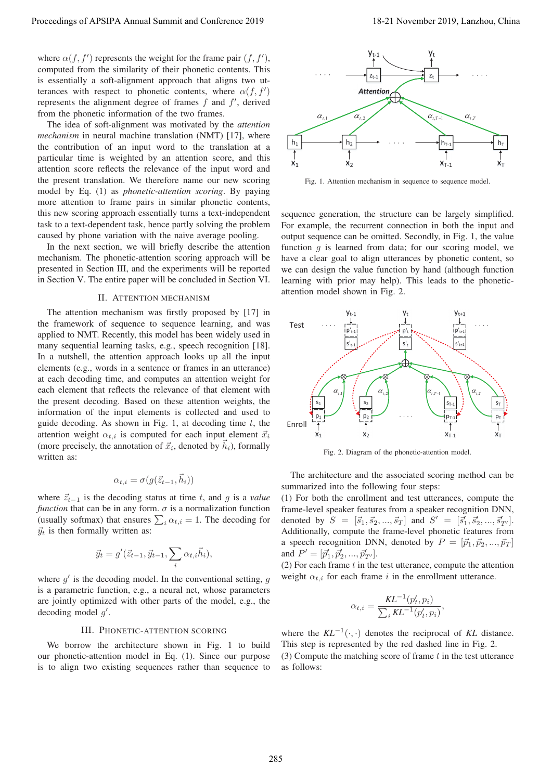where  $\alpha(f, f')$  represents the weight for the frame pair  $(f, f')$ ,<br>computed from the similarity of their phonetic contents. This computed from the similarity of their phonetic contents. This is essentially a soft-alignment approach that aligns two utterances with respect to phonetic contents, where  $\alpha(f, f')$ represents the alignment degree of frames  $f$  and  $f'$ , derived<br>from the phonetic information of the two frames from the phonetic information of the two frames.

The idea of soft-alignment was motivated by the *attention mechanism* in neural machine translation (NMT) [17], where the contribution of an input word to the translation at a particular time is weighted by an attention score, and this attention score reflects the relevance of the input word and the present translation. We therefore name our new scoring model by Eq. (1) as *phonetic-attention scoring*. By paying more attention to frame pairs in similar phonetic contents, this new scoring approach essentially turns a text-independent task to a text-dependent task, hence partly solving the problem caused by phone variation with the naive average pooling.

In the next section, we will briefly describe the attention mechanism. The phonetic-attention scoring approach will be presented in Section III, and the experiments will be reported in Section V. The entire paper will be concluded in Section VI.

## II. ATTENTION MECHANISM

The attention mechanism was firstly proposed by [17] in the framework of sequence to sequence learning, and was applied to NMT. Recently, this model has been widely used in many sequential learning tasks, e.g., speech recognition [18]. In a nutshell, the attention approach looks up all the input elements (e.g., words in a sentence or frames in an utterance) at each decoding time, and computes an attention weight for each element that reflects the relevance of that element with the present decoding. Based on these attention weights, the information of the input elements is collected and used to guide decoding. As shown in Fig. 1, at decoding time  $t$ , the attention weight  $\alpha_{t,i}$  is computed for each input element  $\vec{x}_i$ <br>(more precisely the enpatation of  $\vec{x}_i$  denoted by  $\vec{b}$ ) formally (more precisely, the annotation of  $\vec{x}_i$ , denoted by  $h_i$ ), formally<br>written as: written as: Proceeding of APSIPA Annual Summit as Conference 2019 18-21 November 2019 18-21 November 2019, Conference 2019 18-21 November 2019 18-21 November 2019 18-21 November 2019 18-21 November 2019 18-21 November 2019 18-21 Nove

$$
\alpha_{t,i} = \sigma(g(\vec{z}_{t-1}, \vec{h}_i))
$$

where  $\vec{z}_{t-1}$  is the decoding status at time t, and g is a *value*<br>function that can be in any form  $\sigma$  is a normalization function *function* that can be in any form.  $\sigma$  is a normalization function (usually softmax) that ensures  $\sum_i \alpha_{t,i} = 1$ . The decoding for  $\vec{a}$ , is then formally written as:  $\vec{y}_t$  is then formally written as:

$$
\vec{y}_t = g'(\vec{z}_{t-1}, \vec{y}_{t-1}, \sum_i \alpha_{t,i} \vec{h}_i),
$$

where  $g'$  is the decoding model. In the conventional setting, g is a parametric function, e.g., a neural net, whose parameters are jointly optimized with other parts of the model, e.g., the decoding model  $g'$ .

## III. PHONETIC-ATTENTION SCORING

We borrow the architecture shown in Fig. 1 to build our phonetic-attention model in Eq. (1). Since our purpose is to align two existing sequences rather than sequence to



Fig. 1. Attention mechanism in sequence to sequence model.

sequence generation, the structure can be largely simplified. For example, the recurrent connection in both the input and output sequence can be omitted. Secondly, in Fig. 1, the value function  $g$  is learned from data; for our scoring model, we have a clear goal to align utterances by phonetic content, so we can design the value function by hand (although function learning with prior may help). This leads to the phoneticattention model shown in Fig. 2.



Fig. 2. Diagram of the phonetic-attention model.

The architecture and the associated scoring method can be summarized into the following four steps:

(1) For both the enrollment and test utterances, compute the frame-level speaker features from a speaker recognition DNN, denoted by  $S = [\vec{s}_1, \vec{s}_2, ..., \vec{s}_T]$  and  $S' = [\vec{s}'_1, \vec{s}'_2, ..., \vec{s}'_{T'}]$ .<br>Additionally compute the frame-level phonetic features from denoted by  $S = [s_1, s_2, ..., s_T]$  and  $S = [s_1, s_2, ..., s_{T'}]$ .<br>Additionally, compute the frame-level phonetic features from a speech recognition DNN, denoted by  $P = [\vec{p}_1, \vec{p}_2, ..., \vec{p}_T]$ <br>and  $P' = [\vec{p}', \vec{p}', \vec{p}']$ and  $P' = [\vec{p}'_1, \vec{p}'_2, ..., \vec{p}'_{T'}].$ <br>(2) For each frame t in the

(2) For each frame t in the test utterance, compute the attention<br>weight  $\alpha_{i+1}$  for each frame i in the enrollment utterance weight  $\alpha_{t,i}$  for each frame i in the enrollment utterance.

$$
\alpha_{t,i} = \frac{KL^{-1}(p_t', p_i)}{\sum_i KL^{-1}(p_t', p_i)},
$$

where the  $KL^{-1}(\cdot, \cdot)$  denotes the reciprocal of *KL* distance. This step is represented by the red dashed line in Fig. 2. (3) Compute the matching score of frame  $t$  in the test utterance as follows: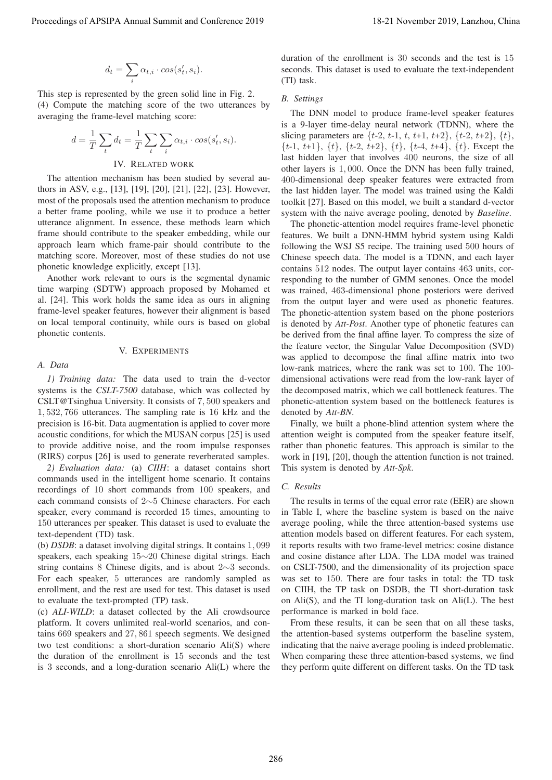$$
d_t = \sum_i \alpha_{t,i} \cdot \cos(s'_t, s_i).
$$

This step is represented by the green solid line in Fig. 2. (4) Compute the matching score of the two utterances by averaging the frame-level matching score:

$$
d = \frac{1}{T} \sum_{t} d_t = \frac{1}{T} \sum_{t} \sum_{i} \alpha_{t,i} \cdot \cos(s'_t, s_i).
$$
  
IV. RELATED WORK

The attention mechanism has been studied by several authors in ASV, e.g., [13], [19], [20], [21], [22], [23]. However, most of the proposals used the attention mechanism to produce a better frame pooling, while we use it to produce a better utterance alignment. In essence, these methods learn which frame should contribute to the speaker embedding, while our approach learn which frame-pair should contribute to the matching score. Moreover, most of these studies do not use phonetic knowledge explicitly, except [13].

Another work relevant to ours is the segmental dynamic time warping (SDTW) approach proposed by Mohamed et al. [24]. This work holds the same idea as ours in aligning frame-level speaker features, however their alignment is based on local temporal continuity, while ours is based on global phonetic contents.

### V. EXPERIMENTS

#### *A. Data*

*1) Training data:* The data used to train the d-vector systems is the *CSLT-7500* database, which was collected by CSLT@Tsinghua University. It consists of 7, 500 speakers and 1, 532, 766 utterances. The sampling rate is 16 kHz and the precision is 16-bit. Data augmentation is applied to cover more acoustic conditions, for which the MUSAN corpus [25] is used to provide additive noise, and the room impulse responses (RIRS) corpus [26] is used to generate reverberated samples.

*2) Evaluation data:* (a) *CIIH*: a dataset contains short commands used in the intelligent home scenario. It contains recordings of 10 short commands from 100 speakers, and each command consists of 2∼5 Chinese characters. For each speaker, every command is recorded 15 times, amounting to 150 utterances per speaker. This dataset is used to evaluate the text-dependent (TD) task.

(b) *DSDB*: a dataset involving digital strings. It contains 1, 099 speakers, each speaking 15∼20 Chinese digital strings. Each string contains 8 Chinese digits, and is about 2∼3 seconds. For each speaker, 5 utterances are randomly sampled as enrollment, and the rest are used for test. This dataset is used to evaluate the text-prompted (TP) task.

(c) *ALI-WILD*: a dataset collected by the Ali crowdsource platform. It covers unlimited real-world scenarios, and contains 669 speakers and 27, 861 speech segments. We designed two test conditions: a short-duration scenario Ali(S) where the duration of the enrollment is 15 seconds and the test is 3 seconds, and a long-duration scenario Ali(L) where the duration of the enrollment is 30 seconds and the test is 15 seconds. This dataset is used to evaluate the text-independent (TI) task.

# *B. Settings*

The DNN model to produce frame-level speaker features is a 9-layer time-delay neural network (TDNN), where the slicing parameters are  $\{t-2, t-1, t, t+1, t+2\}, \{t-2, t+2\}, \{t\}$ ,  $\{t-1, t+1\}, \{t\}, \{t-2, t+2\}, \{t\}, \{t-4, t+4\}, \{t\}.$  Except the last hidden layer that involves <sup>400</sup> neurons, the size of all other layers is 1, 000. Once the DNN has been fully trained, 400-dimensional deep speaker features were extracted from the last hidden layer. The model was trained using the Kaldi toolkit [27]. Based on this model, we built a standard d-vector system with the naive average pooling, denoted by *Baseline*.

The phonetic-attention model requires frame-level phonetic features. We built a DNN-HMM hybrid system using Kaldi following the WSJ S5 recipe. The training used 500 hours of Chinese speech data. The model is a TDNN, and each layer contains 512 nodes. The output layer contains 463 units, corresponding to the number of GMM senones. Once the model was trained, 463-dimensional phone posteriors were derived from the output layer and were used as phonetic features. The phonetic-attention system based on the phone posteriors is denoted by *Att-Post*. Another type of phonetic features can be derived from the final affine layer. To compress the size of the feature vector, the Singular Value Decomposition (SVD) was applied to decompose the final affine matrix into two low-rank matrices, where the rank was set to 100. The 100 dimensional activations were read from the low-rank layer of the decomposed matrix, which we call bottleneck features. The phonetic-attention system based on the bottleneck features is denoted by *Att-BN*. Proceedings of APSIPA Annual Summit and Co-Co-co-2019 2013<br>
Annual Summit and Base of AS annual Base of AS annual Base of AS annual Base of AS annual Base is a consention by the second that the second the second term is a

Finally, we built a phone-blind attention system where the attention weight is computed from the speaker feature itself, rather than phonetic features. This approach is similar to the work in [19], [20], though the attention function is not trained. This system is denoted by *Att-Spk*.

# *C. Results*

The results in terms of the equal error rate (EER) are shown in Table I, where the baseline system is based on the naive average pooling, while the three attention-based systems use attention models based on different features. For each system, it reports results with two frame-level metrics: cosine distance and cosine distance after LDA. The LDA model was trained on CSLT-7500, and the dimensionality of its projection space was set to 150. There are four tasks in total: the TD task on CIIH, the TP task on DSDB, the TI short-duration task on Ali(S), and the TI long-duration task on Ali(L). The best performance is marked in bold face.

From these results, it can be seen that on all these tasks, the attention-based systems outperform the baseline system, indicating that the naive average pooling is indeed problematic. When comparing these three attention-based systems, we find they perform quite different on different tasks. On the TD task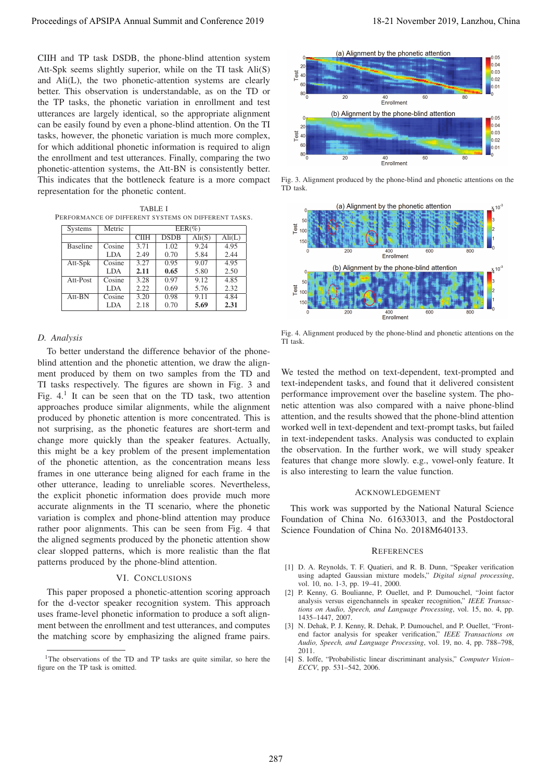CIIH and TP task DSDB, the phone-blind attention system Att-Spk seems slightly superior, while on the TI task Ali(S) and Ali(L), the two phonetic-attention systems are clearly better. This observation is understandable, as on the TD or the TP tasks, the phonetic variation in enrollment and test utterances are largely identical, so the appropriate alignment can be easily found by even a phone-blind attention. On the TI tasks, however, the phonetic variation is much more complex, for which additional phonetic information is required to align the enrollment and test utterances. Finally, comparing the two phonetic-attention systems, the Att-BN is consistently better. This indicates that the bottleneck feature is a more compact representation for the phonetic content.

TABLE I PERFORMANCE OF DIFFERENT SYSTEMS ON DIFFERENT TASKS.

| <b>Systems</b>  | Metric     | $EER(\%)$         |             |                 |                 |
|-----------------|------------|-------------------|-------------|-----------------|-----------------|
|                 |            | <b>CIIH</b>       | <b>DSDB</b> | $\text{Ali}(S)$ | $\text{Ali}(L)$ |
| <b>Baseline</b> | Cosine     | 3.71              | 1.02        | 9.24            | 4.95            |
|                 | LDA        | 2.49              | 0.70        | 5.84            | 2.44            |
| Att-Spk         | Cosine     | 3.27              | 0.95        | 9.07            | 4.95            |
|                 | <b>LDA</b> | 2.11              | 0.65        | 5.80            | 2.50            |
| Att-Post        | Cosine     | 3.28              | 0.97        | 9.12            | 4.85            |
|                 | LDA.       | 2.22              | 0.69        | 5.76            | 2.32            |
| $Att-BN$        | Cosine     | $\overline{3.20}$ | 0.98        | 9.11            | 4.84            |
|                 | LDA        | 2.18              | 0.70        | 5.69            | 2.31            |

## *D. Analysis*

To better understand the difference behavior of the phoneblind attention and the phonetic attention, we draw the alignment produced by them on two samples from the TD and TI tasks respectively. The figures are shown in Fig. 3 and Fig.  $4<sup>1</sup>$  It can be seen that on the TD task, two attention approaches produce similar alignments, while the alignment produced by phonetic attention is more concentrated. This is not surprising, as the phonetic features are short-term and change more quickly than the speaker features. Actually, this might be a key problem of the present implementation of the phonetic attention, as the concentration means less frames in one utterance being aligned for each frame in the other utterance, leading to unreliable scores. Nevertheless, the explicit phonetic information does provide much more accurate alignments in the TI scenario, where the phonetic variation is complex and phone-blind attention may produce rather poor alignments. This can be seen from Fig. 4 that the aligned segments produced by the phonetic attention show clear slopped patterns, which is more realistic than the flat patterns produced by the phone-blind attention. Proceeding of APSIPA Annual Summit and Conference 2019<br>
CIE and The Rose Conference 2019 18-21 November 2019 18-21 November 2019 18-21 November 2019 18-21 November 2019 18-21 November 2019 18-21 November 2019 18-21 Novemb

## VI. CONCLUSIONS

This paper proposed a phonetic-attention scoring approach for the d-vector speaker recognition system. This approach uses frame-level phonetic information to produce a soft alignment between the enrollment and test utterances, and computes the matching score by emphasizing the aligned frame pairs.



Fig. 3. Alignment produced by the phone-blind and phonetic attentions on the TD task.



Fig. 4. Alignment produced by the phone-blind and phonetic attentions on the TI task.

We tested the method on text-dependent, text-prompted and text-independent tasks, and found that it delivered consistent performance improvement over the baseline system. The phonetic attention was also compared with a naive phone-blind attention, and the results showed that the phone-blind attention worked well in text-dependent and text-prompt tasks, but failed in text-independent tasks. Analysis was conducted to explain the observation. In the further work, we will study speaker features that change more slowly. e.g., vowel-only feature. It is also interesting to learn the value function.

#### ACKNOWLEDGEMENT

This work was supported by the National Natural Science Foundation of China No. 61633013, and the Postdoctoral Science Foundation of China No. 2018M640133.

#### **REFERENCES**

- [1] D. A. Reynolds, T. F. Quatieri, and R. B. Dunn, "Speaker verification using adapted Gaussian mixture models," *Digital signal processing*, vol. 10, no. 1-3, pp. 19–41, 2000.
- [2] P. Kenny, G. Boulianne, P. Ouellet, and P. Dumouchel, "Joint factor analysis versus eigenchannels in speaker recognition," *IEEE Transactions on Audio, Speech, and Language Processing*, vol. 15, no. 4, pp. 1435–1447, 2007.
- [3] N. Dehak, P. J. Kenny, R. Dehak, P. Dumouchel, and P. Ouellet, "Frontend factor analysis for speaker verification," *IEEE Transactions on Audio, Speech, and Language Processing*, vol. 19, no. 4, pp. 788–798, 2011.
- [4] S. Ioffe, "Probabilistic linear discriminant analysis," *Computer Vision– ECCV*, pp. 531–542, 2006.

<sup>&</sup>lt;sup>1</sup>The observations of the TD and TP tasks are quite similar, so here the figure on the TP task is omitted.